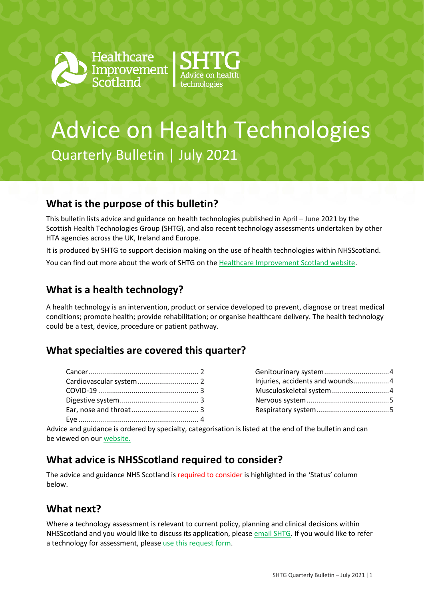



# Advice on Health Technologies Quarterly Bulletin | July 2021

# **What is the purpose of this bulletin?**

This bulletin lists advice and guidance on health technologies published in April – June 2021 by the Scottish Health Technologies Group (SHTG), and also recent technology assessments undertaken by other HTA agencies across the UK, Ireland and Europe.

It is produced by SHTG to support decision making on the use of health technologies within NHSScotland.

You can find out more about the work of SHTG on th[e Healthcare Improvement Scotland website.](http://www.healthcareimprovementscotland.org/our_work/technologies_and_medicines/shtg.aspx)

# **What is a health technology?**

A health technology is an intervention, product or service developed to prevent, diagnose or treat medical conditions; promote health; provide rehabilitation; or organise healthcare delivery. The health technology could be a test, device, procedure or patient pathway.

#### **What specialties are covered this quarter?**

| Injuries, accidents and wounds4 |  |
|---------------------------------|--|
|                                 |  |
|                                 |  |
|                                 |  |

Advice and guidance is ordered by specialty, categorisation is listed at the end of the bulletin and can be viewed on our [website.](https://www.healthcareimprovementscotland.org/system_pages/resources.aspx)

#### **What advice is NHSScotland required to consider?**

The advice and guidance NHS Scotland is required to consider is highlighted in the 'Status' column below.

### **What next?**

Where a technology assessment is relevant to current policy, planning and clinical decisions within NHSScotland and you would like to discuss its application, please [email SHTG.](mailto:his.shtg@nhs.scot) If you would like to refer a technology for assessment, please [use this request form.](http://www.healthcareimprovementscotland.org/idoc.ashx?docid=5e383653-8f96-4541-983c-7e411b487455&version=-1)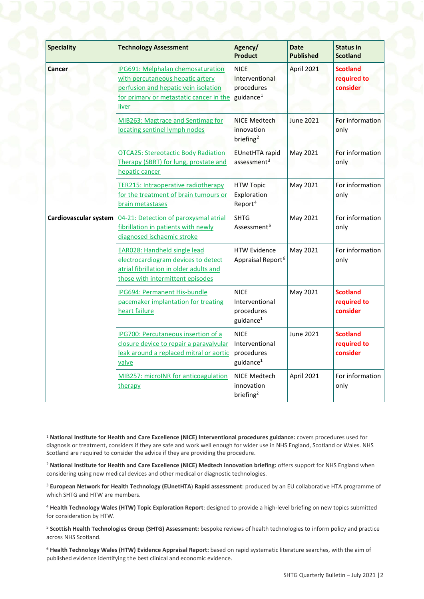| <b>Speciality</b>     | <b>Technology Assessment</b>                                                                                                                                      | Agency/<br><b>Product</b>                                            | <b>Date</b><br><b>Published</b> | <b>Status in</b><br><b>Scotland</b>        |
|-----------------------|-------------------------------------------------------------------------------------------------------------------------------------------------------------------|----------------------------------------------------------------------|---------------------------------|--------------------------------------------|
| Cancer                | IPG691: Melphalan chemosaturation<br>with percutaneous hepatic artery<br>perfusion and hepatic vein isolation<br>for primary or metastatic cancer in the<br>liver | <b>NICE</b><br>Interventional<br>procedures<br>guidance <sup>1</sup> | April 2021                      | <b>Scotland</b><br>required to<br>consider |
|                       | MIB263: Magtrace and Sentimag for<br>locating sentinel lymph nodes                                                                                                | <b>NICE Medtech</b><br>innovation<br>briefing <sup>2</sup>           | <b>June 2021</b>                | For information<br>only                    |
|                       | <b>OTCA25: Stereotactic Body Radiation</b><br>Therapy (SBRT) for lung, prostate and<br>hepatic cancer                                                             | <b>EUnetHTA</b> rapid<br>assessment <sup>3</sup>                     | <b>May 2021</b>                 | For information<br>only                    |
|                       | <b>TER215: Intraoperative radiotherapy</b><br>for the treatment of brain tumours or<br>brain metastases                                                           | <b>HTW Topic</b><br>Exploration<br>Report <sup>4</sup>               | May 2021                        | For information<br>only                    |
| Cardiovascular system | 04-21: Detection of paroxysmal atrial<br>fibrillation in patients with newly<br>diagnosed ischaemic stroke                                                        | <b>SHTG</b><br>Assessment <sup>5</sup>                               | May 2021                        | For information<br>only                    |
|                       | <b>EAR028: Handheld single lead</b><br>electrocardiogram devices to detect<br>atrial fibrillation in older adults and<br>those with intermittent episodes         | <b>HTW Evidence</b><br>Appraisal Report <sup>6</sup>                 | May 2021                        | For information<br>only                    |
|                       | <b>IPG694: Permanent His-bundle</b><br>pacemaker implantation for treating<br>heart failure                                                                       | <b>NICE</b><br>Interventional<br>procedures<br>guidance <sup>1</sup> | May 2021                        | <b>Scotland</b><br>required to<br>consider |
|                       | <b>IPG700: Percutaneous insertion of a</b><br>closure device to repair a paravalvular<br>leak around a replaced mitral or aortic<br>valve                         | <b>NICE</b><br>Interventional<br>procedures<br>guidance $1$          | June 2021                       | <b>Scotland</b><br>required to<br>consider |
|                       | MIB257: microINR for anticoagulation<br>therapy                                                                                                                   | NICE Medtech<br>innovation<br>briefing <sup>2</sup>                  | April 2021                      | For information<br>only                    |

 $\overline{a}$ 

<span id="page-1-0"></span><sup>1</sup> **National Institute for Health and Care Excellence (NICE) Interventional procedures guidance:** covers procedures used for diagnosis or treatment, considers if they are safe and work well enough for wider use in NHS England, Scotland or Wales. NHS Scotland are required to consider the advice if they are providing the procedure.

<span id="page-1-1"></span><sup>2</sup> **National Institute for Health and Care Excellence (NICE) Medtech innovation briefing:** offers support for NHS England when considering using new medical devices and other medical or diagnostic technologies.

<span id="page-1-2"></span><sup>3</sup> **European Network for Health Technology (EUnetHTA**) **Rapid assessment**: produced by an EU collaborative HTA programme of which SHTG and HTW are members.

<span id="page-1-3"></span><sup>4</sup> **Health Technology Wales (HTW) Topic Exploration Report**: designed to provide a high-level briefing on new topics submitted for consideration by HTW.

<span id="page-1-4"></span><sup>5</sup> **Scottish Health Technologies Group (SHTG) Assessment:** bespoke reviews of health technologies to inform policy and practice across NHS Scotland.

<span id="page-1-5"></span><sup>6</sup> **Health Technology Wales (HTW) Evidence Appraisal Report:** based on rapid systematic literature searches, with the aim of published evidence identifying the best clinical and economic evidence.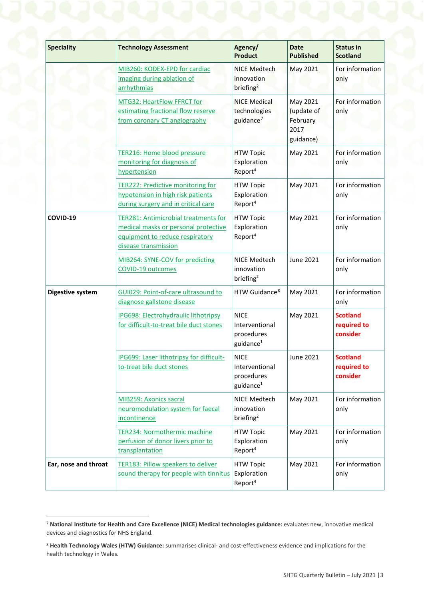| <b>Speciality</b>       | <b>Technology Assessment</b>                                                                                                                   | Agency/<br><b>Product</b>                                            | <b>Date</b><br><b>Published</b>                         | <b>Status in</b><br><b>Scotland</b>        |
|-------------------------|------------------------------------------------------------------------------------------------------------------------------------------------|----------------------------------------------------------------------|---------------------------------------------------------|--------------------------------------------|
|                         | MIB260: KODEX-EPD for cardiac<br>imaging during ablation of<br>arrhythmias                                                                     | <b>NICE Medtech</b><br><i>innovation</i><br>briefing <sup>2</sup>    | May 2021                                                | For information<br>only                    |
|                         | MTG32: HeartFlow FFRCT for<br>estimating fractional flow reserve<br>from coronary CT angiography                                               | <b>NICE Medical</b><br>technologies<br>guidance <sup>7</sup>         | May 2021<br>(update of<br>February<br>2017<br>guidance) | For information<br>only                    |
|                         | <b>TER216: Home blood pressure</b><br>monitoring for diagnosis of<br>hypertension                                                              | <b>HTW Topic</b><br>Exploration<br>Report <sup>4</sup>               | May 2021                                                | For information<br>only                    |
|                         | <b>TER222: Predictive monitoring for</b><br>hypotension in high risk patients<br>during surgery and in critical care                           | <b>HTW Topic</b><br>Exploration<br>Report <sup>4</sup>               | May 2021                                                | For information<br>only                    |
| COVID-19                | <b>TER281: Antimicrobial treatments for</b><br>medical masks or personal protective<br>equipment to reduce respiratory<br>disease transmission | <b>HTW Topic</b><br>Exploration<br>Report <sup>4</sup>               | May 2021                                                | For information<br>only                    |
|                         | MIB264: SYNE-COV for predicting<br>COVID-19 outcomes                                                                                           | NICE Medtech<br>innovation<br>briefing <sup>2</sup>                  | June 2021                                               | For information<br>only                    |
| <b>Digestive system</b> | GUI029: Point-of-care ultrasound to<br>diagnose gallstone disease                                                                              | HTW Guidance <sup>8</sup>                                            | May 2021                                                | For information<br>only                    |
|                         | <b>IPG698: Electrohydraulic lithotripsy</b><br>for difficult-to-treat bile duct stones                                                         | <b>NICF</b><br>Interventional<br>procedures<br>guidance <sup>1</sup> | May 2021                                                | <b>Scotland</b><br>required to<br>consider |
|                         | IPG699: Laser lithotripsy for difficult-<br>to-treat bile duct stones                                                                          | <b>NICE</b><br>Interventional<br>procedures<br>guidance <sup>1</sup> | June 2021                                               | <b>Scotland</b><br>required to<br>consider |
|                         | MIB259: Axonics sacral<br>neuromodulation system for faecal<br>incontinence                                                                    | NICE Medtech<br>innovation<br>briefing <sup>2</sup>                  | May 2021                                                | For information<br>only                    |
|                         | TER234: Normothermic machine<br>perfusion of donor livers prior to<br>transplantation                                                          | <b>HTW Topic</b><br>Exploration<br>Report <sup>4</sup>               | May 2021                                                | For information<br>only                    |
| Ear, nose and throat    | TER183: Pillow speakers to deliver<br>sound therapy for people with tinnitus                                                                   | <b>HTW Topic</b><br>Exploration<br>Report <sup>4</sup>               | May 2021                                                | For information<br>only                    |

<span id="page-2-0"></span> <sup>7</sup> **National Institute for Health and Care Excellence (NICE) Medical technologies guidance:** evaluates new, innovative medical devices and diagnostics for NHS England.

<span id="page-2-1"></span><sup>8</sup> **Health Technology Wales (HTW) Guidance:** summarises clinical- and cost-effectiveness evidence and implications for the health technology in Wales.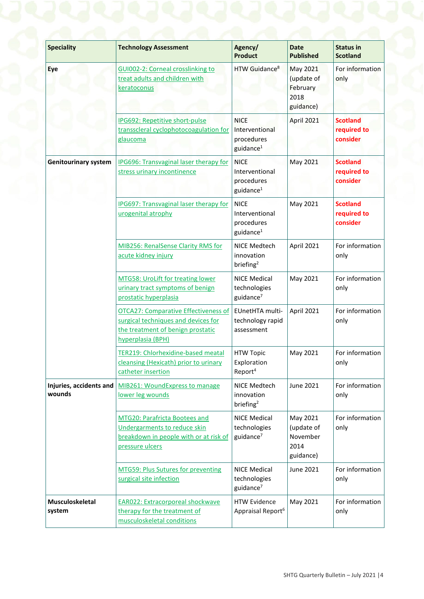| <b>Speciality</b>                 | <b>Technology Assessment</b>                                                                                                                 | Agency/<br><b>Product</b>                                            | <b>Date</b><br><b>Published</b>                         | <b>Status in</b><br><b>Scotland</b>        |
|-----------------------------------|----------------------------------------------------------------------------------------------------------------------------------------------|----------------------------------------------------------------------|---------------------------------------------------------|--------------------------------------------|
| Eye                               | GUI002-2: Corneal crosslinking to<br>treat adults and children with<br>keratoconus                                                           | HTW Guidance <sup>8</sup>                                            | May 2021<br>(update of<br>February<br>2018<br>guidance) | For information<br>only                    |
|                                   | <b>IPG692: Repetitive short-pulse</b><br>transscleral cyclophotocoagulation for<br>glaucoma                                                  | <b>NICE</b><br>Interventional<br>procedures<br>guidance <sup>1</sup> | April 2021                                              | <b>Scotland</b><br>required to<br>consider |
| <b>Genitourinary system</b>       | <b>IPG696: Transvaginal laser therapy for</b><br>stress urinary incontinence                                                                 | <b>NICE</b><br>Interventional<br>procedures<br>guidance <sup>1</sup> | May 2021                                                | <b>Scotland</b><br>required to<br>consider |
|                                   | IPG697: Transvaginal laser therapy for<br>urogenital atrophy                                                                                 | <b>NICE</b><br>Interventional<br>procedures<br>guidance <sup>1</sup> | May 2021                                                | <b>Scotland</b><br>required to<br>consider |
|                                   | MIB256: RenalSense Clarity RMS for<br>acute kidney injury                                                                                    | NICE Medtech<br>innovation<br>briefing <sup>2</sup>                  | April 2021                                              | For information<br>only                    |
|                                   | MTG58: UroLift for treating lower<br>urinary tract symptoms of benign<br>prostatic hyperplasia                                               | <b>NICE Medical</b><br>technologies<br>guidance <sup>7</sup>         | May 2021                                                | For information<br>only                    |
|                                   | <b>OTCA27: Comparative Effectiveness of</b><br>surgical techniques and devices for<br>the treatment of benign prostatic<br>hyperplasia (BPH) | EUnetHTA multi-<br>technology rapid<br>assessment                    | April 2021                                              | For information<br>only                    |
|                                   | TER219: Chlorhexidine-based meatal<br>cleansing (Hexicath) prior to urinary<br>catheter insertion                                            | <b>HTW Topic</b><br>Exploration<br>Report <sup>4</sup>               | May 2021                                                | For information<br>only                    |
| Injuries, accidents and<br>wounds | MIB261: WoundExpress to manage<br>lower leg wounds                                                                                           | NICE Medtech<br>innovation<br>briefing <sup>2</sup>                  | June 2021                                               | For information<br>only                    |
|                                   | MTG20: Parafricta Bootees and<br>Undergarments to reduce skin<br>breakdown in people with or at risk of<br>pressure ulcers                   | <b>NICE Medical</b><br>technologies<br>guidance <sup>7</sup>         | May 2021<br>(update of<br>November<br>2014<br>guidance) | For information<br>only                    |
|                                   | <b>MTG59: Plus Sutures for preventing</b><br>surgical site infection                                                                         | <b>NICE Medical</b><br>technologies<br>guidance <sup>7</sup>         | June 2021                                               | For information<br>only                    |
| Musculoskeletal<br>system         | <b>EAR022: Extracorporeal shockwave</b><br>therapy for the treatment of<br>musculoskeletal conditions                                        | <b>HTW Evidence</b><br>Appraisal Report <sup>6</sup>                 | May 2021                                                | For information<br>only                    |